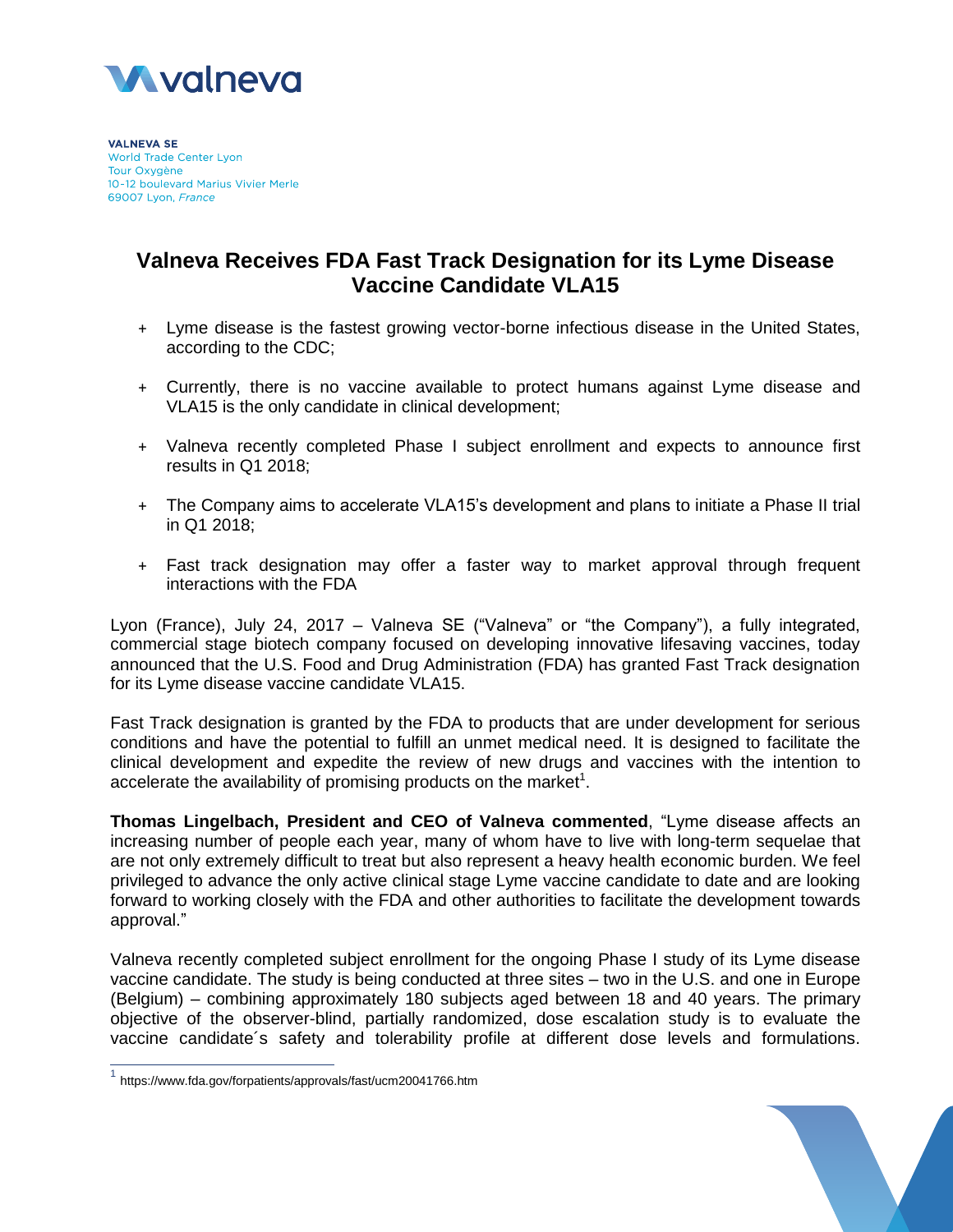

**VALNEVA SE** World Trade Center Lyon Tour Oxygène 10-12 boulevard Marius Vivier Merle 69007 Lyon, France

# **Valneva Receives FDA Fast Track Designation for its Lyme Disease Vaccine Candidate VLA15**

- + Lyme disease is the fastest growing vector-borne infectious disease in the United States, according to the CDC;
- + Currently, there is no vaccine available to protect humans against Lyme disease and VLA15 is the only candidate in clinical development;
- + Valneva recently completed Phase I subject enrollment and expects to announce first results in Q1 2018;
- + The Company aims to accelerate VLA15's development and plans to initiate a Phase II trial in Q1 2018;
- + Fast track designation may offer a faster way to market approval through frequent interactions with the FDA

Lyon (France), July 24, 2017 – Valneva SE ("Valneva" or "the Company"), a fully integrated, commercial stage biotech company focused on developing innovative lifesaving vaccines, today announced that the U.S. Food and Drug Administration (FDA) has granted Fast Track designation for its Lyme disease vaccine candidate VLA15.

Fast Track designation is granted by the FDA to products that are under development for serious conditions and have the potential to fulfill an unmet medical need. It is designed to facilitate the clinical development and expedite the review of new drugs and vaccines with the intention to accelerate the availability of promising products on the market<sup>1</sup>.

**Thomas Lingelbach, President and CEO of Valneva commented**, "Lyme disease affects an increasing number of people each year, many of whom have to live with long-term sequelae that are not only extremely difficult to treat but also represent a heavy health economic burden. We feel privileged to advance the only active clinical stage Lyme vaccine candidate to date and are looking forward to working closely with the FDA and other authorities to facilitate the development towards approval."

Valneva recently completed subject enrollment for the ongoing Phase I study of its Lyme disease vaccine candidate. The study is being conducted at three sites – two in the U.S. and one in Europe (Belgium) – combining approximately 180 subjects aged between 18 and 40 years. The primary objective of the observer-blind, partially randomized, dose escalation study is to evaluate the vaccine candidate´s safety and tolerability profile at different dose levels and formulations.

 $\overline{\phantom{a}}$ 

<sup>&</sup>lt;sup>1</sup> https://www.fda.gov/forpatients/approvals/fast/ucm20041766.htm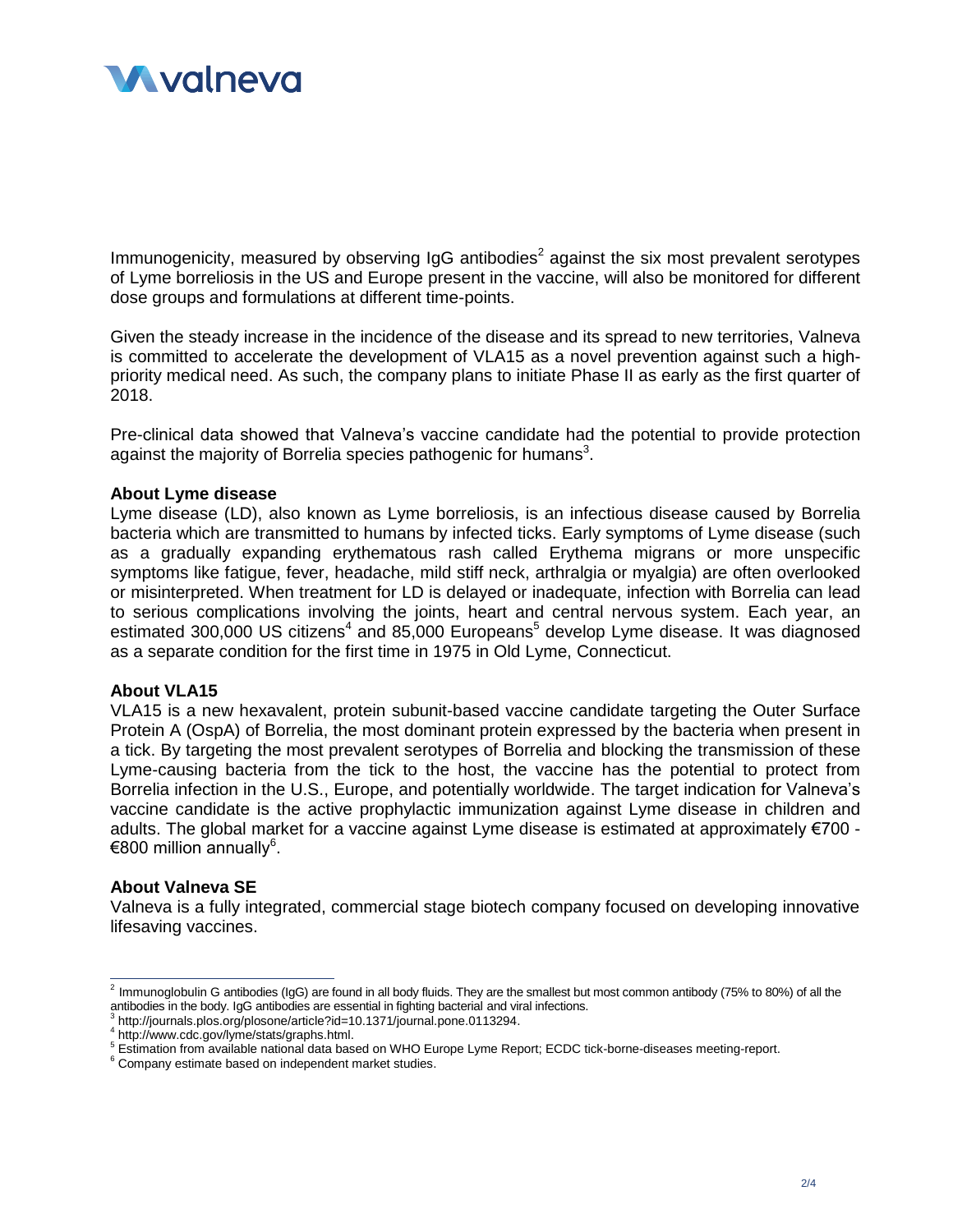

Immunogenicity, measured by observing IgG antibodies<sup>2</sup> against the six most prevalent serotypes of Lyme borreliosis in the US and Europe present in the vaccine, will also be monitored for different dose groups and formulations at different time-points.

Given the steady increase in the incidence of the disease and its spread to new territories, Valneva is committed to accelerate the development of VLA15 as a novel prevention against such a highpriority medical need. As such, the company plans to initiate Phase II as early as the first quarter of 2018.

Pre-clinical data showed that Valneva's vaccine candidate had the potential to provide protection against the majority of Borrelia species pathogenic for humans<sup>3</sup>.

#### **About Lyme disease**

Lyme disease (LD), also known as Lyme borreliosis, is an infectious disease caused by Borrelia bacteria which are transmitted to humans by infected ticks. Early symptoms of Lyme disease (such as a gradually expanding erythematous rash called Erythema migrans or more unspecific symptoms like fatigue, fever, headache, mild stiff neck, arthralgia or myalgia) are often overlooked or misinterpreted. When treatment for LD is delayed or inadequate, infection with Borrelia can lead to serious complications involving the joints, heart and central nervous system. Each year, an estimated 300,000 US citizens<sup>4</sup> and 85,000 Europeans<sup>5</sup> develop Lyme disease. It was diagnosed as a separate condition for the first time in 1975 in Old Lyme, Connecticut.

#### **About VLA15**

VLA15 is a new hexavalent, protein subunit-based vaccine candidate targeting the Outer Surface Protein A (OspA) of Borrelia, the most dominant protein expressed by the bacteria when present in a tick. By targeting the most prevalent serotypes of Borrelia and blocking the transmission of these Lyme-causing bacteria from the tick to the host, the vaccine has the potential to protect from Borrelia infection in the U.S., Europe, and potentially worldwide. The target indication for Valneva's vaccine candidate is the active prophylactic immunization against Lyme disease in children and adults. The global market for a vaccine against Lyme disease is estimated at approximately €700 -  $€800$  million annually<sup>6</sup>.

#### **About Valneva SE**

Valneva is a fully integrated, commercial stage biotech company focused on developing innovative lifesaving vaccines.

 2 Immunoglobulin G antibodies (IgG) are found in all body fluids. They are the smallest but most common antibody (75% to 80%) of all the antibodies in the body. IgG antibodies are essential in fighting bacterial an[d viral infections.](http://www.webmd.com/a-to-z-guides/bacterial-and-viral-infections) 3

http://journals.plos.org/plosone/article?id=10.1371/journal.pone.0113294.

<sup>4</sup> http://www.cdc.gov/lyme/stats/graphs.html.

<sup>5</sup> Estimation from available national data based on WHO Europe Lyme Report; ECDC tick-borne-diseases meeting-report.

<sup>&</sup>lt;sup>6</sup> Company estimate based on independent market studies.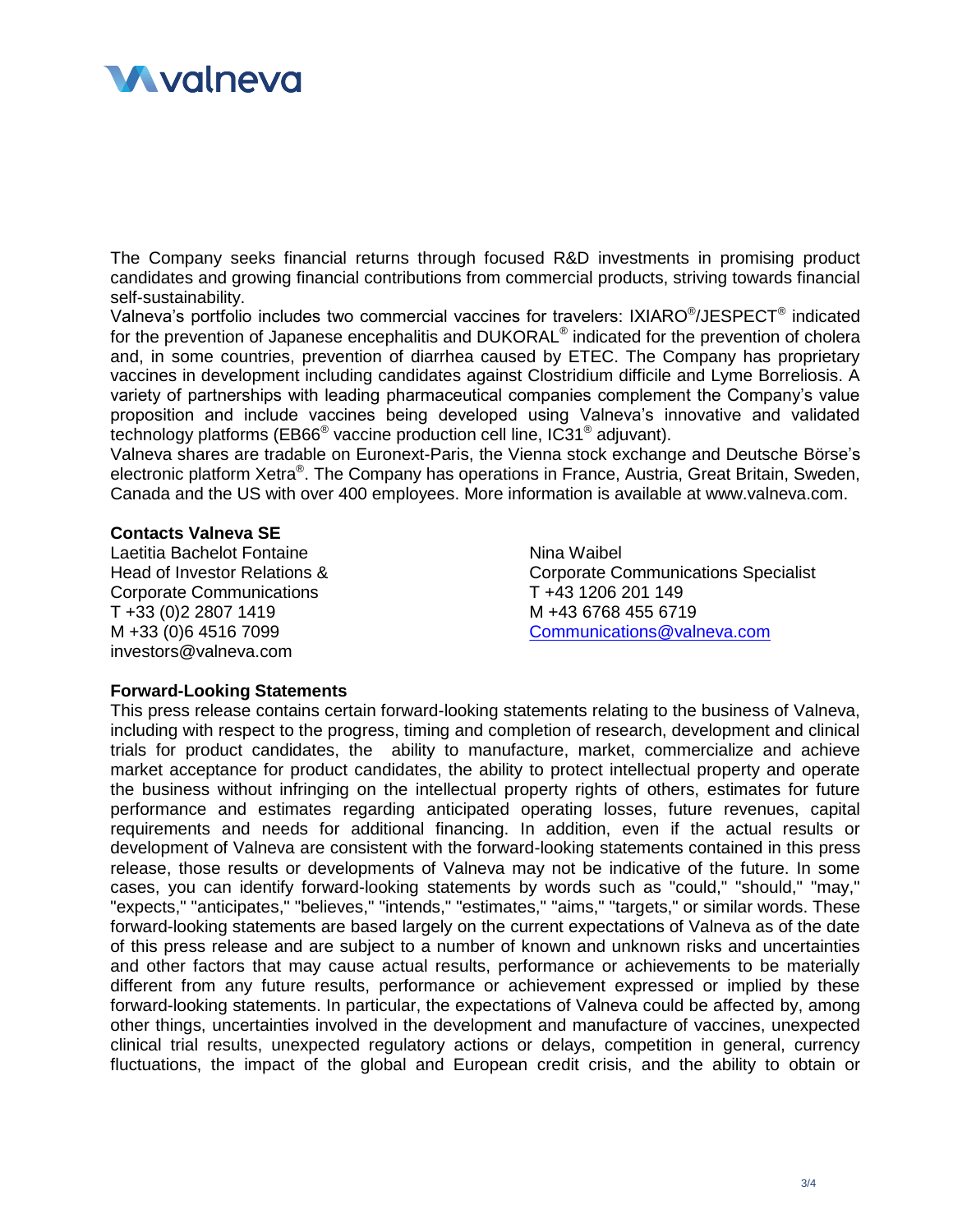# **M** valneva

The Company seeks financial returns through focused R&D investments in promising product candidates and growing financial contributions from commercial products, striving towards financial self-sustainability.

Valneva's portfolio includes two commercial vaccines for travelers: IXIARO®/JESPECT® indicated for the prevention of Japanese encephalitis and DUKORAL<sup>®</sup> indicated for the prevention of cholera and, in some countries, prevention of diarrhea caused by ETEC. The Company has proprietary vaccines in development including candidates against Clostridium difficile and Lyme Borreliosis. A variety of partnerships with leading pharmaceutical companies complement the Company's value proposition and include vaccines being developed using Valneva's innovative and validated technology platforms (EB66® vaccine production cell line, IC31® adjuvant).

Valneva shares are tradable on Euronext-Paris, the Vienna stock exchange and Deutsche Börse's electronic platform Xetra®. The Company has operations in France, Austria, Great Britain, Sweden, Canada and the US with over 400 employees. More information is available at www.valneva.com.

## **Contacts Valneva SE**

Laetitia Bachelot Fontaine Head of Investor Relations & Corporate Communications T +33 (0)2 2807 1419 M +33 (0)6 4516 7099 investors@valneva.com

Nina Waibel Corporate Communications Specialist T +43 1206 201 149 M +43 6768 455 6719 [Communications@valneva.com](mailto:Communications@valneva.com)

## **Forward-Looking Statements**

This press release contains certain forward-looking statements relating to the business of Valneva, including with respect to the progress, timing and completion of research, development and clinical trials for product candidates, the ability to manufacture, market, commercialize and achieve market acceptance for product candidates, the ability to protect intellectual property and operate the business without infringing on the intellectual property rights of others, estimates for future performance and estimates regarding anticipated operating losses, future revenues, capital requirements and needs for additional financing. In addition, even if the actual results or development of Valneva are consistent with the forward-looking statements contained in this press release, those results or developments of Valneva may not be indicative of the future. In some cases, you can identify forward-looking statements by words such as "could," "should," "may," "expects," "anticipates," "believes," "intends," "estimates," "aims," "targets," or similar words. These forward-looking statements are based largely on the current expectations of Valneva as of the date of this press release and are subject to a number of known and unknown risks and uncertainties and other factors that may cause actual results, performance or achievements to be materially different from any future results, performance or achievement expressed or implied by these forward-looking statements. In particular, the expectations of Valneva could be affected by, among other things, uncertainties involved in the development and manufacture of vaccines, unexpected clinical trial results, unexpected regulatory actions or delays, competition in general, currency fluctuations, the impact of the global and European credit crisis, and the ability to obtain or